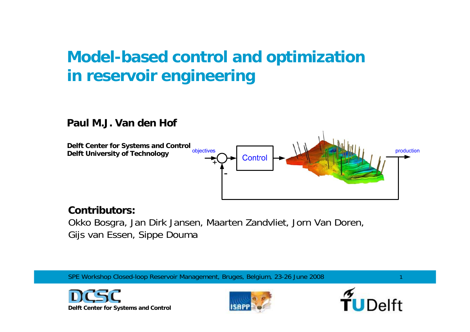## **Model-based control and optimization in reservoir engineering**

#### **Paul M.J. Van den Hof**

**Delft Center for Systems and Control Delft University of Technology**



#### **Contributors:**

Okko Bosgra, Jan Dirk Jansen, Maarten Zandvliet, Jorn Van Doren, Gijs van Essen, Sippe Douma

SPE Workshop Closed-loop Reservoir Management, Bruges, Belgium, 23-26 June 2008





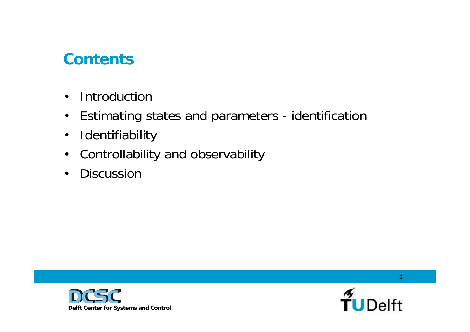## **Contents**

- Introduction
- Estimating states and parameters identification
- Identifiability
- Controllability and observability
- Discussion



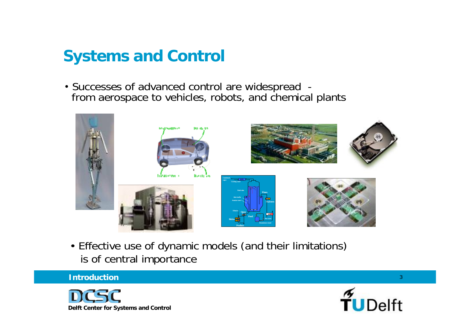## **Systems and Control**

• Successes of advanced control are widespread from aerospace to vehicles, robots, and chemical plants



• Effective use of dynamic models (and their limitations) is of central importance

#### **Introduction**



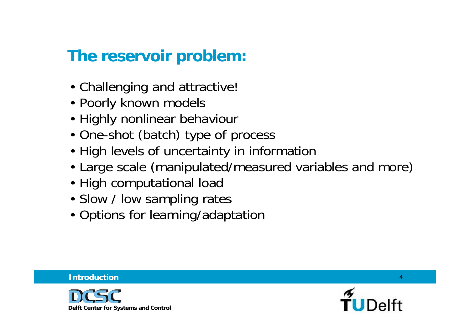## **The reservoir problem:**

- Challenging and attractive!
- Poorly known models
- Highly nonlinear behaviour
- One-shot (batch) type of process
- High levels of uncertainty in information
- Large scale (manipulated/measured variables and more)
- High computational load
- Slow / low sampling rates
- Options for learning/adaptation



**Introduction**

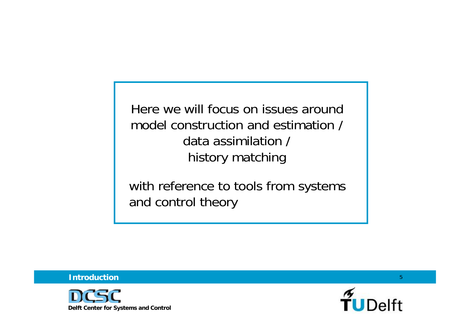Here we will focus on issues aroundmodel construction and estimation / data assimilation / history matching

with reference to tools from systems and control theory

**Introduction**



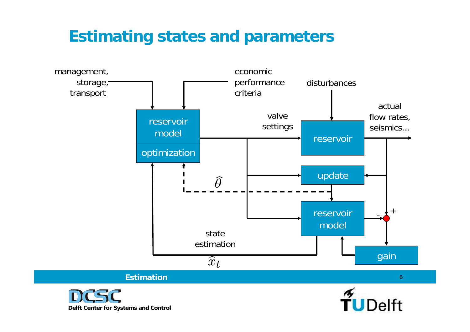## **Estimating states and parameters**

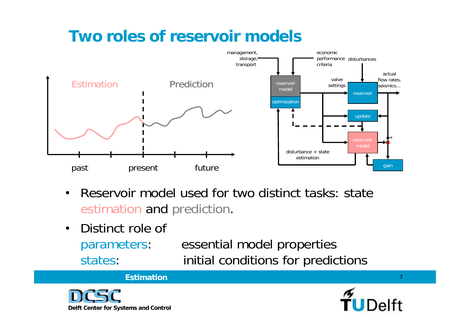## **Two roles of reservoir models**



- Reservoir model used for two distinct tasks: state estimation and prediction.
- Distinct role of parameters: essential model properties states: initial conditions for predictions

#### **Estimation**



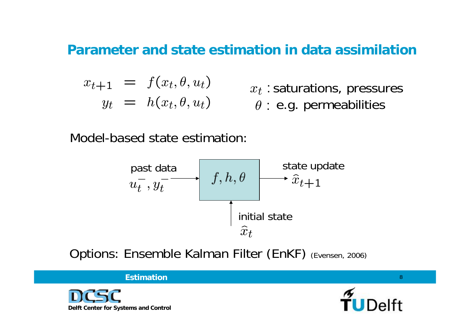### **Parameter and state estimation in data assimilation**

$$
x_{t+1} = f(x_t, \theta, u_t)
$$
  

$$
y_t = h(x_t, \theta, u_t)
$$

 $x_t$ : saturations, pressures  $\theta$  : e.g. permeabilities

Model-based state estimation:



Options: Ensemble Kalman Filter (EnKF) (Evensen, 2006)

**Estimation**



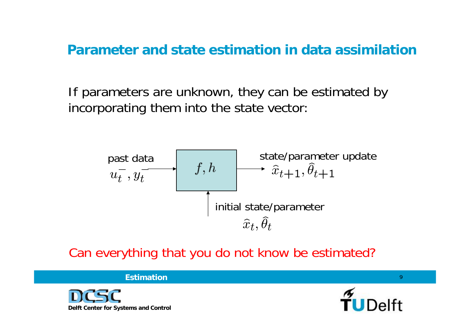**Parameter and state estimation in data assimilation**

If parameters are unknown, they can be estimated by incorporating them into the state vector:



Can everything that you do not know be estimated?

**Estimation**



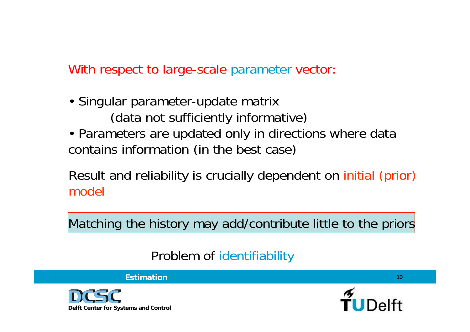### With respect to large-scale parameter vector:

- Singular parameter-update matrix (data not sufficiently informative)
- Parameters are updated only in directions where data contains information (in the best case)

Result and reliability is crucially dependent on initial (prior) model

Matching the history may add/contribute little to the priors

## Problem of identifiability



**Estimation**

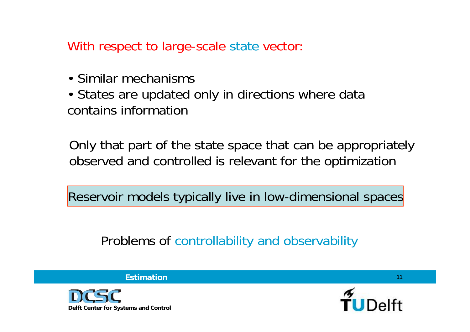With respect to large-scale state vector:

- Similar mechanisms
- States are updated only in directions where data contains information

Only that part of the state space that can be appropriately observed and controlled is relevant for the optimization

Reservoir models typically live in low-dimensional spaces

Problems of controllability and observability



**Estimation**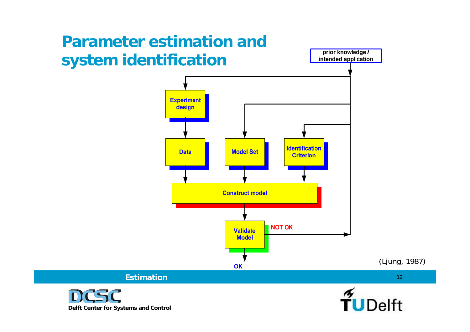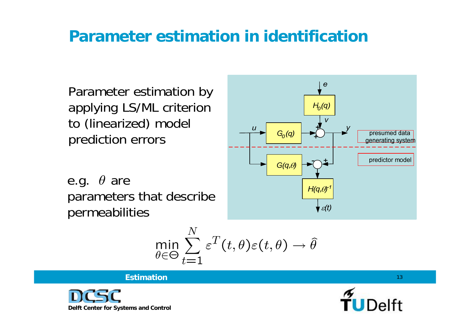## **Parameter estimation in identification**

Parameter estimation by applying LS/ML criterion to (linearized) model prediction errors

e.g.  $\theta$  are parameters that describe permeabilities



$$
\min_{\theta \in \Theta} \sum_{t=1}^N \varepsilon^T(t, \theta) \varepsilon(t, \theta) \to \widehat{\theta}
$$

 $\pi$   $\tau$ 



**Estimation**

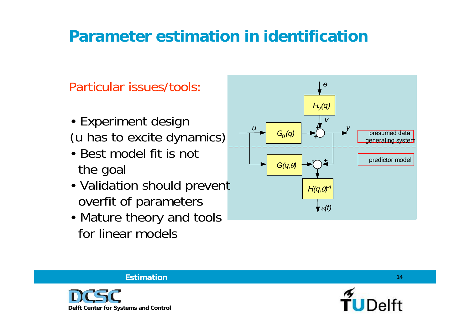## **Parameter estimation in identification**

Particular issues/tools:

- Experiment design (u has to excite dynamics)
- Best model fit is not the goal
- Validation should prevent overfit of parameters
- Mature theory and tools for linear models



#### **Estimation**



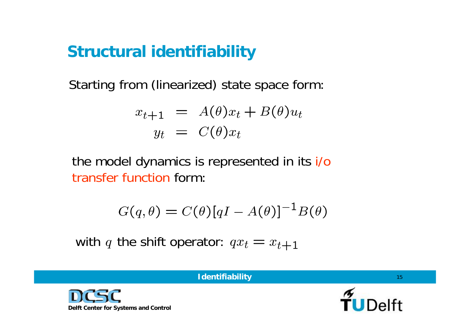## **Structural identifiability**

Starting from (linearized) state space form:

$$
x_{t+1} = A(\theta)x_t + B(\theta)u_t
$$
  

$$
y_t = C(\theta)x_t
$$

the model dynamics is represented in its i/o transfer function form:

$$
G(q, \theta) = C(\theta)[qI - A(\theta)]^{-1}B(\theta)
$$

with q the shift operator:  $qx_t = x_{t+1}$ 

**Delft Center for Systems and Control**

**Identifiability**

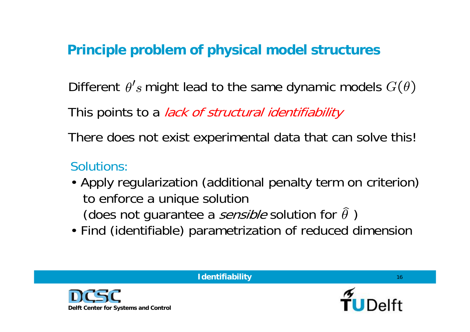### **Principle problem of physical model structures**

Different  $\theta'$ s might lead to the same dynamic models  $G(\theta)$ 

This points to a *lack of structural identifiability* 

There does not exist experimental data that can solve this!

## Solutions:

- Apply regularization (additional penalty term on criterion) to enforce a unique solution (does not guarantee a *sensible* solution for  $\hat{\theta}$ )
- Find (identifiable) parametrization of reduced dimension



**Identifiability**

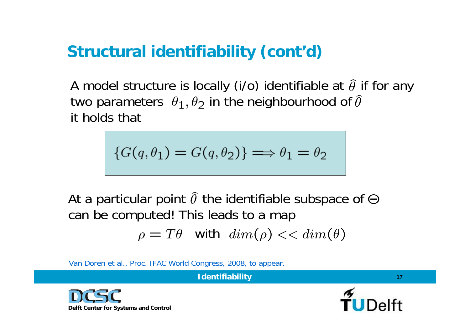# **Structural identifiability (cont'd)**

A model structure is locally (i/o) identifiable at  $\hat{\theta}$  if for any two parameters  $\theta_1$ ,  $\theta_2$  in the neighbourhood of  $\hat{\theta}$ it holds that

$$
\{G(q, \theta_1) = G(q, \theta_2)\} \Longrightarrow \theta_1 = \theta_2
$$

At a particular point  $\hat{\theta}$  the identifiable subspace of  $\Theta$ can be computed! This leads to a map

with

Van Doren et al., Proc. IFAC World Congress, 2008, to appear.

**Delft Center for Systems and Control**



17

**Identifiability**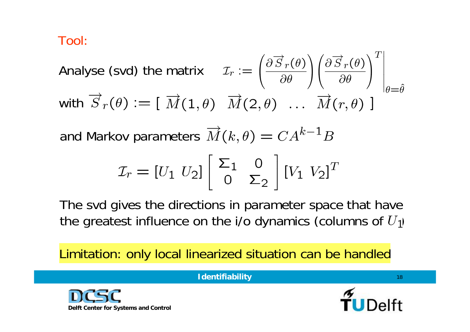Tool:

Analyse (svd) the matrix

\n
$$
\mathcal{I}_r := \left(\frac{\partial \overrightarrow{S}_r(\theta)}{\partial \theta}\right) \left(\frac{\partial \overrightarrow{S}_r(\theta)}{\partial \theta}\right)^T \Big|_{\theta = \hat{\theta}}
$$
\nwith

\n
$$
\overrightarrow{S}_r(\theta) := \left[\overrightarrow{M}(1, \theta) \quad \overrightarrow{M}(2, \theta) \quad \dots \quad \overrightarrow{M}(r, \theta)\right]
$$

and Markov parameters  $\overrightarrow{M}(k, \theta) = CA^{k-1}B$ 

$$
\mathcal{I}_r = [U_1 \ U_2] \begin{bmatrix} \Sigma_1 & 0 \\ 0 & \Sigma_2 \end{bmatrix} [V_1 \ V_2]^T
$$

The svd gives the directions in parameter space that have the greatest influence on the i/o dynamics (columns of  $U_1$ )

Limitation: only local linearized situation can be handled



**Identifiability**

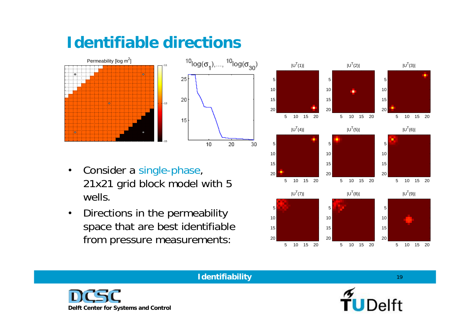## **Identifiable directions**





- Consider a single-phase, 21x21 grid block model with 5 wells.
- Directions in the permeability space that are best identifiable from pressure measurements:





#### **Identifiability**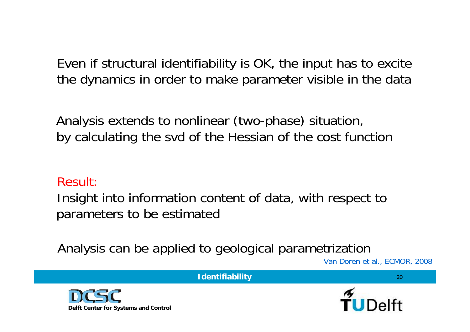Even if structural identifiability is OK, the input has to excite the dynamics in order to make parameter visible in the data

Analysis extends to nonlinear (two-phase) situation, by calculating the svd of the Hessian of the cost function

#### Result:

Insight into information content of data, with respect to parameters to be estimated

Analysis can be applied to geological parametrization

Van Doren et al., ECMOR, 2008

20





**Identifiability**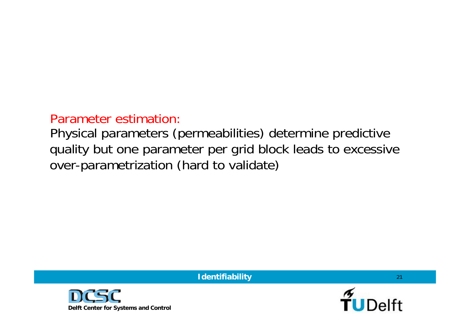### Parameter estimation:

Physical parameters (permeabilities) determine predictive quality but one parameter per grid block leads to excessive over-parametrization (hard to validate)

**Identifiability**



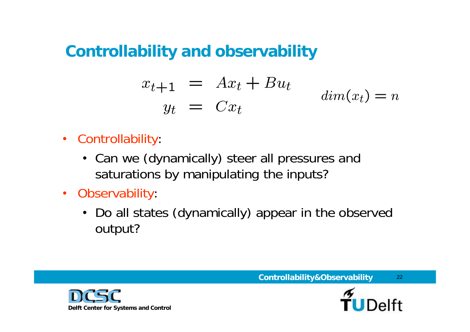## **Controllability and observability**

$$
x_{t+1} = Ax_t + Bu_t
$$
  

$$
y_t = Cx_t
$$
  

$$
dim(x_t) = n
$$

- Controllability:
	- Can we (dynamically) steer all pressures and saturations by manipulating the inputs?
- Observability:
	- Do all states (dynamically) appear in the observed output?



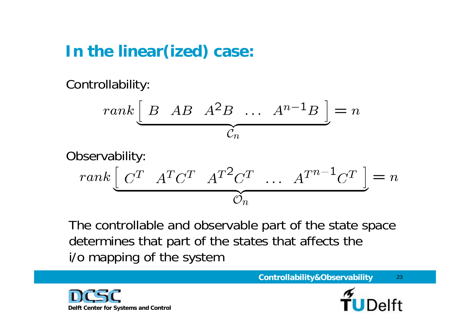## **In the linear(ized) case:**

Controllability:

$$
rank \left[ \begin{array}{cccc} B & AB & A^2B & \dots & A^{n-1}B \end{array} \right] = n
$$

$$
\text{Observeability:} \\
\begin{aligned}\n & rank \left[ \begin{array}{c} C^T & A^T C^T & A^T^2 C^T & \dots & A^{T^{n-1}} C^T \end{array} \right] = n \\
& \overbrace{\mathcal{O}_n}^{T^{n-1}} \n \end{aligned}
$$

The controllable and observable part of the state space determines that part of the states that affects the i/o mapping of the system



23**Controllability&Observability**

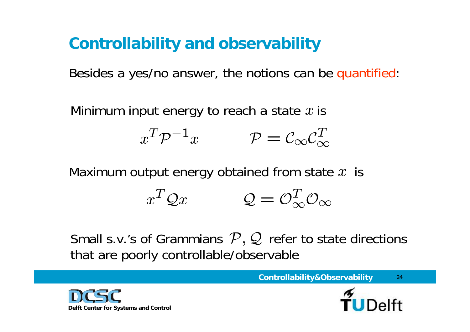# **Controllability and observability**

Besides a yes/no answer, the notions can be quantified:

Minimum input energy to reach a state  $x$  is

$$
x^T \mathcal{P}^{-1} x \qquad \qquad \mathcal{P} = \mathcal{C}_{\infty} \mathcal{C}_{\infty}^T
$$

Maximum output energy obtained from state  $x$  is

$$
x^T \mathcal{Q} x \qquad \qquad \mathcal{Q} = \mathcal{O}_{\infty}^T \mathcal{O}_{\infty}
$$

Small s.v.'s of Grammians  $\mathcal{P},\mathcal{Q}$  refer to state directions that are poorly controllable/observable



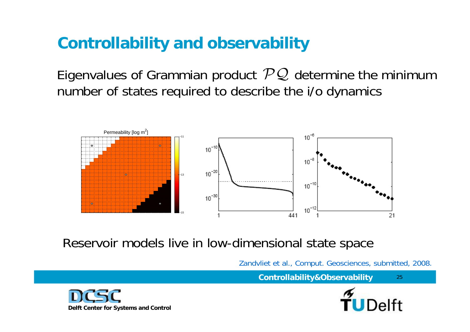# **Controllability and observability**

Eigenvalues of Grammian product  $PQ$  determine the minimum number of states required to describe the i/o dynamics



Reservoir models live in low-dimensional state space

Zandvliet et al., Comput. Geosciences, submitted, 2008.

**Controllability&Observability**



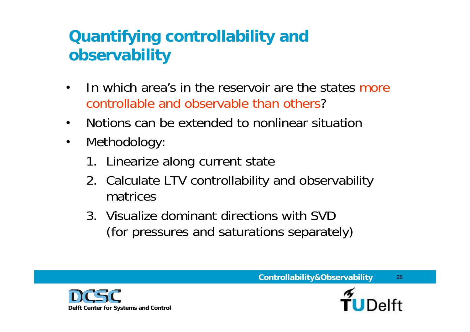# **Quantifying controllability and observability**

- In which area's in the reservoir are the states more controllable and observable than others?
- Notions can be extended to nonlinear situation
- Methodology:
	- 1. Linearize along current state
	- 2. Calculate LTV controllability and observability matrices
	- 3. Visualize dominant directions with SVD (for pressures and saturations separately)



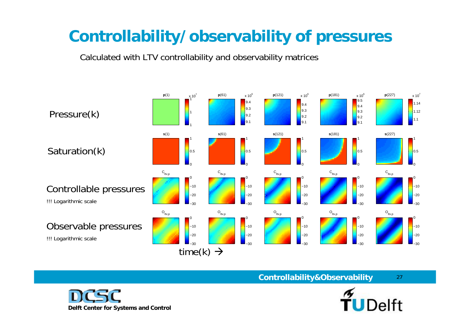# **Controllability/observability of pressures**

Calculated with LTV controllability and observability matrices

**Delft Center for Systems and Control**



**Controllability&Observability**



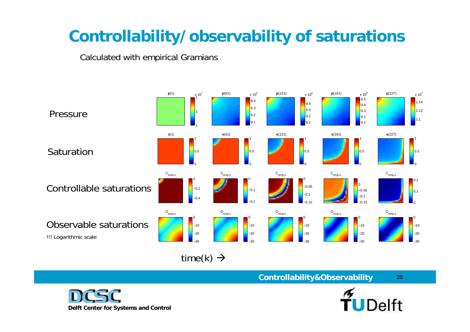# **Controllability/observability of saturations**

Calculated with empirical Gramians



28

**Controllability&Observability**

time(k)  $\rightarrow$ 

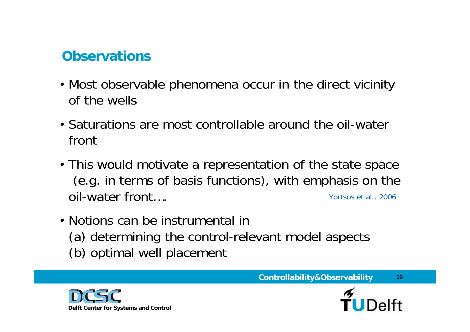## **Observations**

- Most observable phenomena occur in the direct vicinity of the wells
- Saturations are most controllable around the oil-water front
- This would motivate a representation of the state space (e.g. in terms of basis functions), with emphasis on the oil-water front…. Yortsos et al., 2006
- Notions can be instrumental in (a) determining the control-relevant model aspects (b) optimal well placement



**Controllability&Observability**